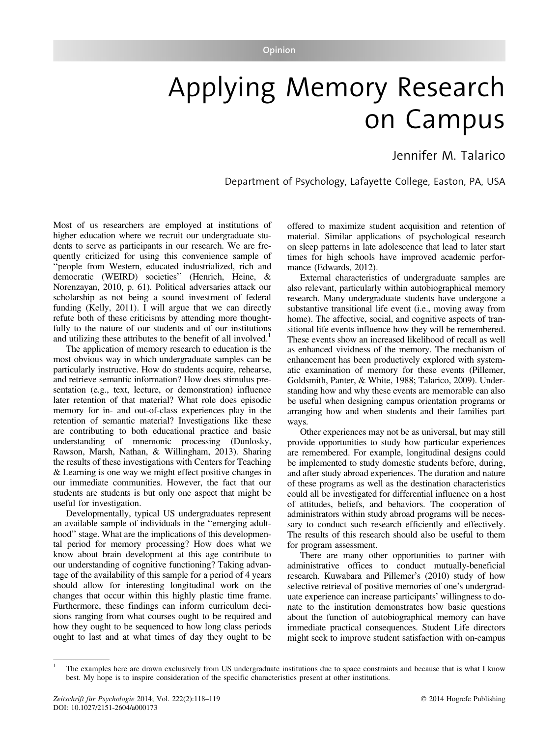## Applying Memory Research on Campus

## Jennifer M. Talarico

Department of Psychology, Lafayette College, Easton, PA, USA

Most of us researchers are employed at institutions of higher education where we recruit our undergraduate students to serve as participants in our research. We are frequently criticized for using this convenience sample of ''people from Western, educated industrialized, rich and democratic (WEIRD) societies'' (Henrich, Heine, & Norenzayan, 2010, p. 61). Political adversaries attack our scholarship as not being a sound investment of federal funding (Kelly, 2011). I will argue that we can directly refute both of these criticisms by attending more thoughtfully to the nature of our students and of our institutions and utilizing these attributes to the benefit of all involved.<sup>1</sup>

The application of memory research to education is the most obvious way in which undergraduate samples can be particularly instructive. How do students acquire, rehearse, and retrieve semantic information? How does stimulus presentation (e.g., text, lecture, or demonstration) influence later retention of that material? What role does episodic memory for in- and out-of-class experiences play in the retention of semantic material? Investigations like these are contributing to both educational practice and basic understanding of mnemonic processing (Dunlosky, Rawson, Marsh, Nathan, & Willingham, 2013). Sharing the results of these investigations with Centers for Teaching & Learning is one way we might effect positive changes in our immediate communities. However, the fact that our students are students is but only one aspect that might be useful for investigation.

Developmentally, typical US undergraduates represent an available sample of individuals in the ''emerging adulthood'' stage. What are the implications of this developmental period for memory processing? How does what we know about brain development at this age contribute to our understanding of cognitive functioning? Taking advantage of the availability of this sample for a period of 4 years should allow for interesting longitudinal work on the changes that occur within this highly plastic time frame. Furthermore, these findings can inform curriculum decisions ranging from what courses ought to be required and how they ought to be sequenced to how long class periods ought to last and at what times of day they ought to be

offered to maximize student acquisition and retention of material. Similar applications of psychological research on sleep patterns in late adolescence that lead to later start times for high schools have improved academic performance (Edwards, 2012).

External characteristics of undergraduate samples are also relevant, particularly within autobiographical memory research. Many undergraduate students have undergone a substantive transitional life event (i.e., moving away from home). The affective, social, and cognitive aspects of transitional life events influence how they will be remembered. These events show an increased likelihood of recall as well as enhanced vividness of the memory. The mechanism of enhancement has been productively explored with systematic examination of memory for these events (Pillemer, Goldsmith, Panter, & White, 1988; Talarico, 2009). Understanding how and why these events are memorable can also be useful when designing campus orientation programs or arranging how and when students and their families part ways.

Other experiences may not be as universal, but may still provide opportunities to study how particular experiences are remembered. For example, longitudinal designs could be implemented to study domestic students before, during, and after study abroad experiences. The duration and nature of these programs as well as the destination characteristics could all be investigated for differential influence on a host of attitudes, beliefs, and behaviors. The cooperation of administrators within study abroad programs will be necessary to conduct such research efficiently and effectively. The results of this research should also be useful to them for program assessment.

There are many other opportunities to partner with administrative offices to conduct mutually-beneficial research. Kuwabara and Pillemer's (2010) study of how selective retrieval of positive memories of one's undergraduate experience can increase participants' willingness to donate to the institution demonstrates how basic questions about the function of autobiographical memory can have immediate practical consequences. Student Life directors might seek to improve student satisfaction with on-campus

<sup>1</sup> The examples here are drawn exclusively from US undergraduate institutions due to space constraints and because that is what I know best. My hope is to inspire consideration of the specific characteristics present at other institutions.